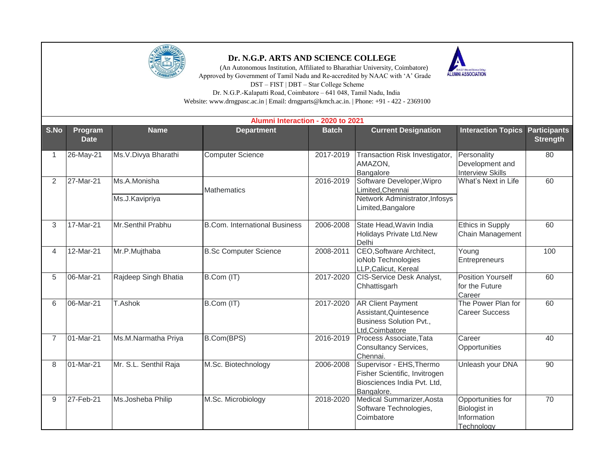

## **Dr. N.G.P. ARTS AND SCIENCE COLLEGE**

 (An Autonomous Institution, Affiliated to Bharathiar University, Coimbatore) Approved by Government of Tamil Nadu and Re-accredited by NAAC with 'A' Grade



DST – FIST | DBT – Star College Scheme

Dr. N.G.P.-Kalapatti Road, Coimbatore – 641 048, Tamil Nadu, India Website: www.drngpasc.ac.in | Email: drngparts@kmch.ac.in. | Phone: +91 - 422 - 2369100

|                | Alumni Interaction - 2020 to 2021 |                                |                                      |              |                                                                                                         |                                                                |                                        |  |  |  |
|----------------|-----------------------------------|--------------------------------|--------------------------------------|--------------|---------------------------------------------------------------------------------------------------------|----------------------------------------------------------------|----------------------------------------|--|--|--|
| S.No           | Program<br><b>Date</b>            | <b>Name</b>                    | <b>Department</b>                    | <b>Batch</b> | <b>Current Designation</b>                                                                              | <b>Interaction Topics</b>                                      | <b>Participants</b><br><b>Strength</b> |  |  |  |
|                | 26-May-21                         | Ms.V.Divya Bharathi            | <b>Computer Science</b>              | 2017-2019    | Transaction Risk Investigator,<br>AMAZON,<br>Bangalore                                                  | Personality<br>Development and<br><b>Interview Skills</b>      | 80                                     |  |  |  |
| $\overline{2}$ | 27-Mar-21                         | Ms.A.Monisha<br>Ms.J.Kavipriya | <b>Mathematics</b>                   | 2016-2019    | Software Developer, Wipro<br>Limited, Chennai<br>Network Administrator, Infosys<br>Limited, Bangalore   | What's Next in Life                                            | 60                                     |  |  |  |
| 3              | 17-Mar-21                         | Mr.Senthil Prabhu              | <b>B.Com. International Business</b> | 2006-2008    | State Head, Wavin India<br>Holidays Private Ltd.New<br>Delhi                                            | <b>Ethics in Supply</b><br>Chain Management                    | 60                                     |  |  |  |
| 4              | 12-Mar-21                         | Mr.P.Mujthaba                  | <b>B.Sc Computer Science</b>         | 2008-2011    | CEO, Software Architect,<br>ioNob Technologies<br>LLP, Calicut, Kereal                                  | Young<br>Entrepreneurs                                         | 100                                    |  |  |  |
| 5              | 06-Mar-21                         | Rajdeep Singh Bhatia           | B.Com (IT)                           | 2017-2020    | <b>CIS-Service Desk Analyst,</b><br>Chhattisgarh                                                        | <b>Position Yourself</b><br>for the Future<br>Career           | 60                                     |  |  |  |
| 6              | 06-Mar-21                         | T.Ashok                        | B.Com (IT)                           | 2017-2020    | <b>AR Client Payment</b><br>Assistant, Quintesence<br><b>Business Solution Pvt.,</b><br>Ltd, Coimbatore | The Power Plan for<br><b>Career Success</b>                    | 60                                     |  |  |  |
| $\overline{7}$ | 01-Mar-21                         | Ms.M.Narmatha Priya            | B.Com(BPS)                           | 2016-2019    | Process Associate, Tata<br>Consultancy Services,<br>Chennai.                                            | Career<br>Opportunities                                        | 40                                     |  |  |  |
| 8              | 01-Mar-21                         | Mr. S.L. Senthil Raja          | M.Sc. Biotechnology                  | 2006-2008    | Supervisor - EHS, Thermo<br>Fisher Scientific, Invitrogen<br>Biosciences India Pvt. Ltd,<br>Bangalore.  | Unleash your DNA                                               | 90                                     |  |  |  |
| 9              | 27-Feb-21                         | Ms.Josheba Philip              | M.Sc. Microbiology                   | 2018-2020    | Medical Summarizer, Aosta<br>Software Technologies,<br>Coimbatore                                       | Opportunities for<br>Biologist in<br>Information<br>Technology | 70                                     |  |  |  |